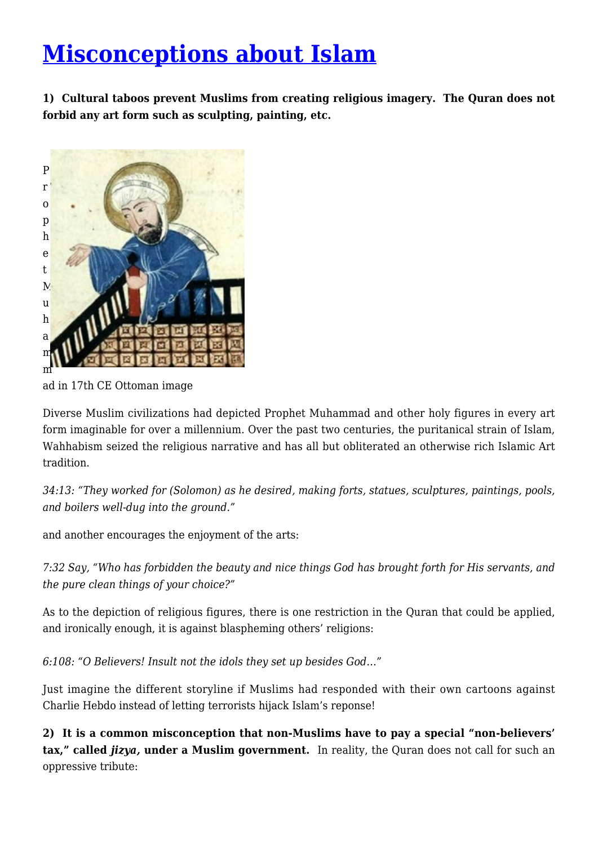## **[Misconceptions about Islam](http://quranaissance.com/misconceptions-about-islam/)**

**1) Cultural taboos prevent Muslims from creating religious imagery. The Quran does not forbid any art form such as sculpting, painting, etc.**



ad in 17th CE Ottoman image

Diverse Muslim civilizations had depicted Prophet Muhammad and other holy figures in every art form imaginable for over a millennium. Over the past two centuries, the puritanical strain of Islam, Wahhabism seized the religious narrative and has all but obliterated an otherwise rich Islamic Art tradition.

*34:13: "They worked for (Solomon) as he desired, making forts, statues, sculptures, paintings, pools, and boilers well-dug into the ground."*

and another encourages the enjoyment of the arts:

*7:32 Say, "Who has forbidden the beauty and nice things God has brought forth for His servants, and the pure clean things of your choice?"*

As to the depiction of religious figures, there is one restriction in the Quran that could be applied, and ironically enough, it is against blaspheming others' religions:

*6:108: "O Believers! Insult not the idols they set up besides God…"*

Just imagine the different storyline if Muslims had responded with their own cartoons against Charlie Hebdo instead of letting terrorists hijack Islam's reponse!

**2) It is a common misconception that non-Muslims have to pay a special "non-believers' tax," called** *jizya,* **under a Muslim government.** In reality, the Quran does not call for such an oppressive tribute: